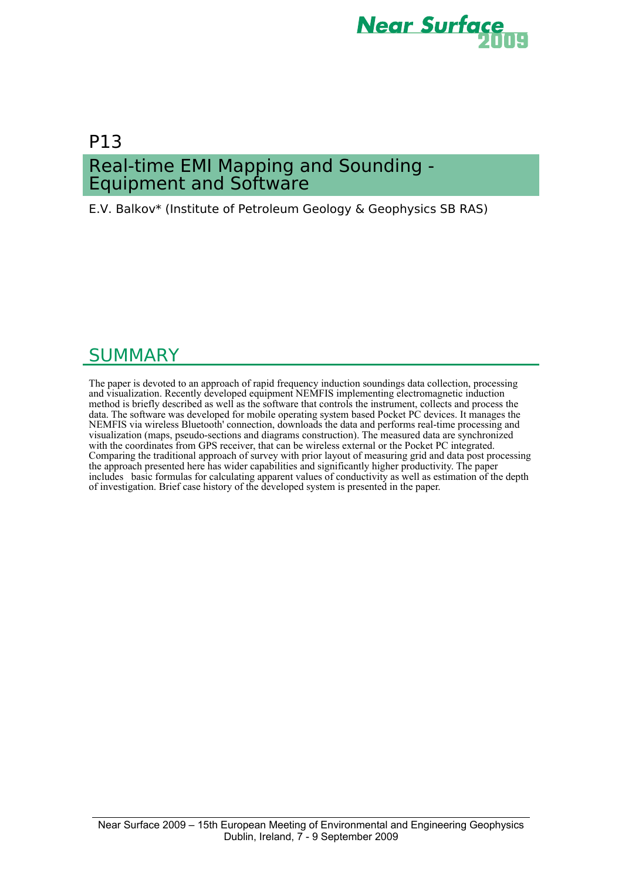

# P13 Real-time EMI Mapping and Sounding - Equipment and Software

E.V. Balkov\* (Institute of Petroleum Geology & Geophysics SB RAS)

# **SUMMARY**

The paper is devoted to an approach of rapid frequency induction soundings data collection, processing and visualization. Recently developed equipment NEMFIS implementing electromagnetic induction method is briefly described as well as the software that controls the instrument, collects and process the data. The software was developed for mobile operating system based Pocket PC devices. It manages the NEMFIS via wireless Bluetooth' connection, downloads the data and performs real-time processing and visualization (maps, pseudo-sections and diagrams construction). The measured data are synchronized with the coordinates from GPS receiver, that can be wireless external or the Pocket PC integrated. Comparing the traditional approach of survey with prior layout of measuring grid and data post processing the approach presented here has wider capabilities and significantly higher productivity. The paper includes basic formulas for calculating apparent values of conductivity as well as estimation of the depth of investigation. Brief case history of the developed system is presented in the paper.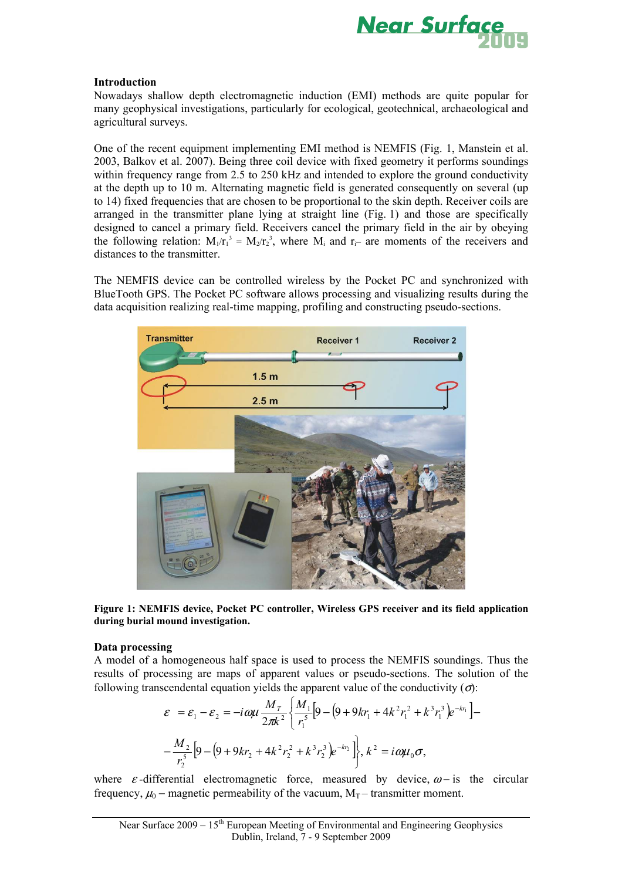

# **Introduction**

Nowadays shallow depth electromagnetic induction (EMI) methods are quite popular for many geophysical investigations, particularly for ecological, geotechnical, archaeological and agricultural surveys.

One of the recent equipment implementing EMI method is NEMFIS (Fig. 1, Manstein et al. 2003, Balkov et al. 2007). Being three coil device with fixed geometry it performs soundings within frequency range from 2.5 to 250 kHz and intended to explore the ground conductivity at the depth up to 10 m. Alternating magnetic field is generated consequently on several (up to 14) fixed frequencies that are chosen to be proportional to the skin depth. Receiver coils are arranged in the transmitter plane lying at straight line (Fig. 1) and those are specifically designed to cancel a primary field. Receivers cancel the primary field in the air by obeying the following relation:  $M_1/r_1^3 = M_2/r_2^3$ , where  $M_i$  and  $r_i$ – are moments of the receivers and distances to the transmitter.

The NEMFIS device can be controlled wireless by the Pocket PC and synchronized with BlueTooth GPS. The Pocket PC software allows processing and visualizing results during the data acquisition realizing real-time mapping, profiling and constructing pseudo-sections.



**Figure 1: NEMFIS device, Pocket PC controller, Wireless GPS receiver and its field application during burial mound investigation.** 

# **Data processing**

A model of a homogeneous half space is used to process the NEMFIS soundings. Thus the results of processing are maps of apparent values or pseudo-sections. The solution of the following transcendental equation yields the apparent value of the conductivity  $(\sigma)$ :

$$
\varepsilon = \varepsilon_1 - \varepsilon_2 = -i \omega \mu \frac{M_T}{2\pi k^2} \left\{ \frac{M_1}{r_1^5} \left[ 9 - \left( 9 + 9kr_1 + 4k^2r_1^2 + k^3r_1^3 \right) e^{-kr_1} \right] - \frac{M_2}{r_2^5} \left[ 9 - \left( 9 + 9kr_2 + 4k^2r_2^2 + k^3r_2^3 \right) e^{-kr_2} \right] \right\}, k^2 = i \omega \mu_0 \sigma,
$$

where  $\varepsilon$ -differential electromagnetic force, measured by device,  $\omega$ - is the circular frequency,  $\mu_0$  – magnetic permeability of the vacuum,  $M_T$  – transmitter moment.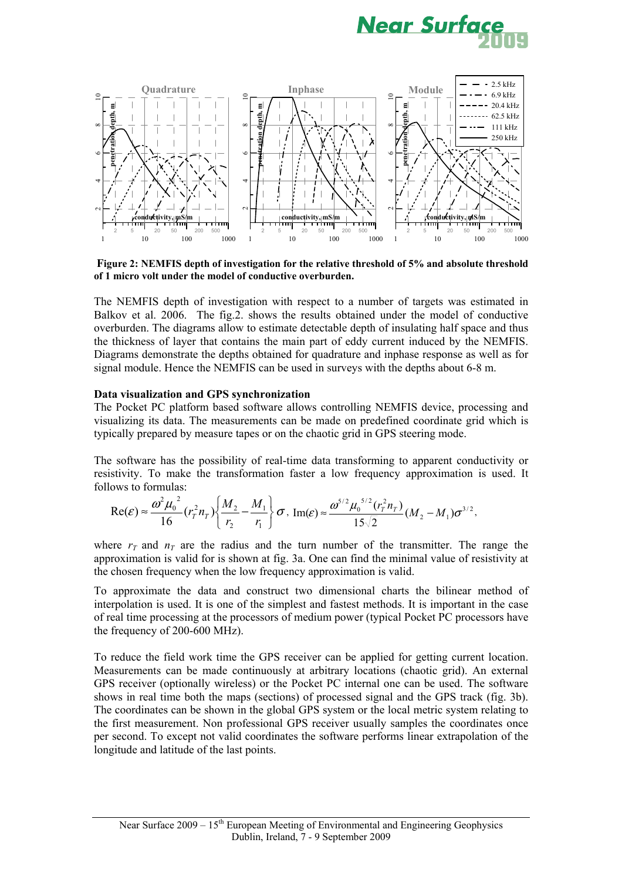



 **Figure 2: NEMFIS depth of investigation for the relative threshold of 5% and absolute threshold of 1 micro volt under the model of conductive overburden.** 

The NEMFIS depth of investigation with respect to a number of targets was estimated in Balkov et al. 2006. The fig.2. shows the results obtained under the model of conductive overburden. The diagrams allow to estimate detectable depth of insulating half space and thus the thickness of layer that contains the main part of eddy current induced by the NEMFIS. Diagrams demonstrate the depths obtained for quadrature and inphase response as well as for signal module. Hence the NEMFIS can be used in surveys with the depths about 6-8 m.

# **Data visualization and GPS synchronization**

The Pocket PC platform based software allows controlling NEMFIS device, processing and visualizing its data. The measurements can be made on predefined coordinate grid which is typically prepared by measure tapes or on the chaotic grid in GPS steering mode.

The software has the possibility of real-time data transforming to apparent conductivity or resistivity. To make the transformation faster a low frequency approximation is used. It follows to formulas:

$$
\operatorname{Re}(\varepsilon) \approx \frac{\omega^2 \mu_0^2}{16} (r_r^2 n_T) \left\{ \frac{M_2}{r_2} - \frac{M_1}{r_1} \right\} \sigma, \ \operatorname{Im}(\varepsilon) \approx \frac{\omega^{5/2} \mu_0^{5/2} (r_r^2 n_T)}{15\sqrt{2}} (M_2 - M_1) \sigma^{3/2},
$$

where  $r<sub>T</sub>$  and  $n<sub>T</sub>$  are the radius and the turn number of the transmitter. The range the approximation is valid for is shown at fig. 3a. One can find the minimal value of resistivity at the chosen frequency when the low frequency approximation is valid.

To approximate the data and construct two dimensional charts the bilinear method of interpolation is used. It is one of the simplest and fastest methods. It is important in the case of real time processing at the processors of medium power (typical Pocket PC processors have the frequency of 200-600 MHz).

To reduce the field work time the GPS receiver can be applied for getting current location. Measurements can be made continuously at arbitrary locations (chaotic grid). An external GPS receiver (optionally wireless) or the Pocket PC internal one can be used. The software shows in real time both the maps (sections) of processed signal and the GPS track (fig. 3b). The coordinates can be shown in the global GPS system or the local metric system relating to the first measurement. Non professional GPS receiver usually samples the coordinates once per second. To except not valid coordinates the software performs linear extrapolation of the longitude and latitude of the last points.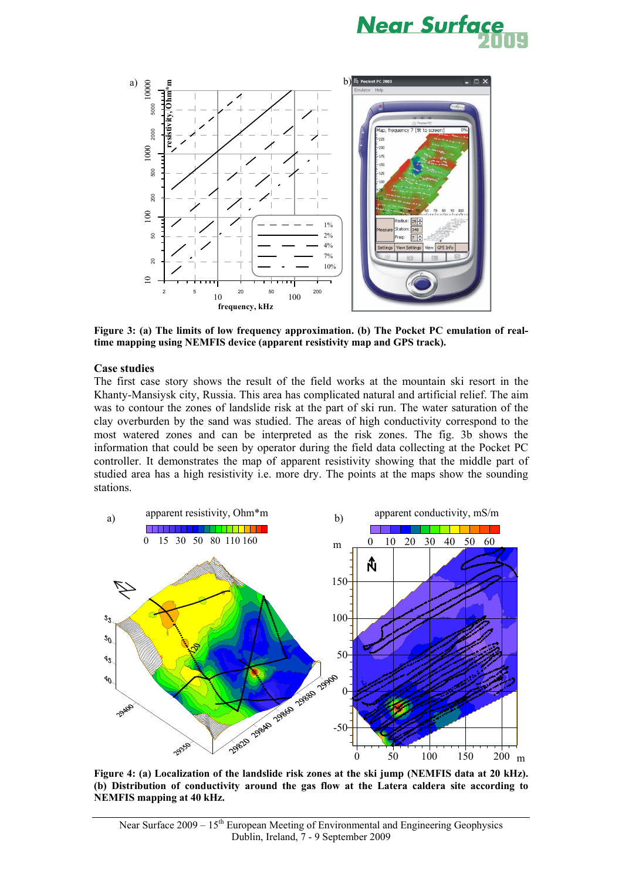



**Figure 3: (a) The limits of low frequency approximation. (b) The Pocket PC emulation of realtime mapping using NEMFIS device (apparent resistivity map and GPS track).** 

#### **Case studies**

The first case story shows the result of the field works at the mountain ski resort in the Khanty-Mansiysk city, Russia. This area has complicated natural and artificial relief. The aim was to contour the zones of landslide risk at the part of ski run. The water saturation of the clay overburden by the sand was studied. The areas of high conductivity correspond to the most watered zones and can be interpreted as the risk zones. The fig. 3b shows the information that could be seen by operator during the field data collecting at the Pocket PC controller. It demonstrates the map of apparent resistivity showing that the middle part of studied area has a high resistivity i.e. more dry. The points at the maps show the sounding stations.



**Figure 4: (a) Localization of the landslide risk zones at the ski jump (NEMFIS data at 20 kHz). (b) Distribution of conductivity around the gas flow at the Latera caldera site according to NEMFIS mapping at 40 kHz.**